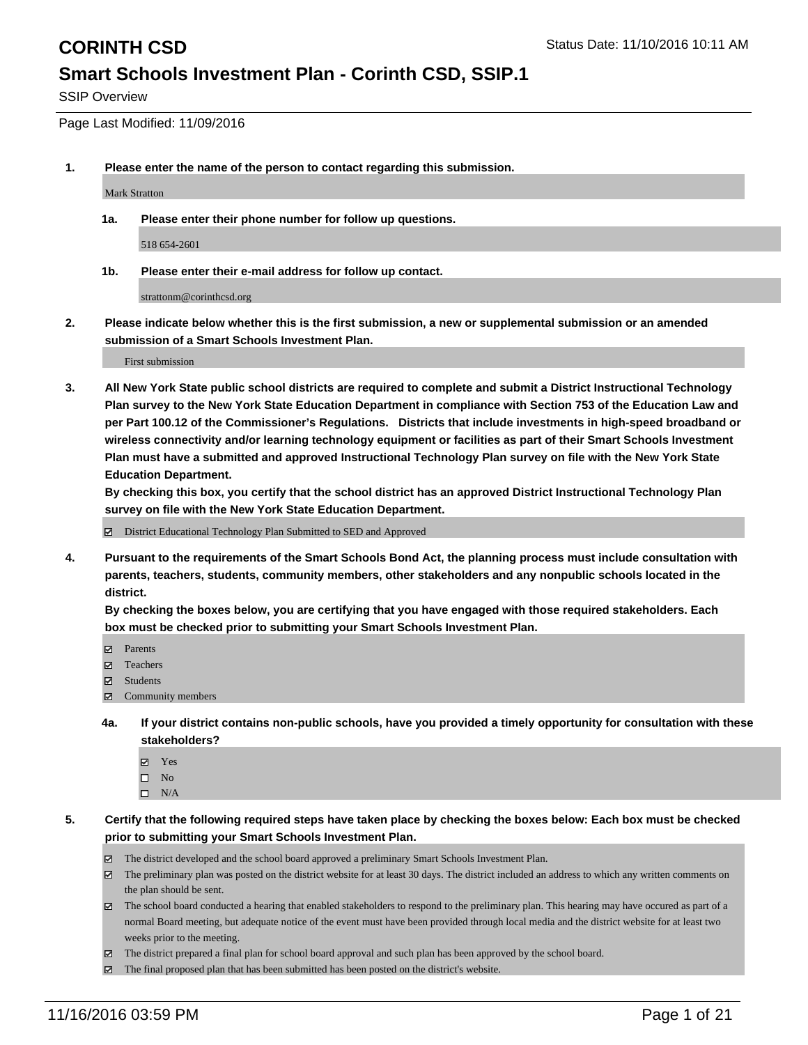SSIP Overview

Page Last Modified: 11/09/2016

**1. Please enter the name of the person to contact regarding this submission.**

Mark Stratton

**1a. Please enter their phone number for follow up questions.**

518 654-2601

**1b. Please enter their e-mail address for follow up contact.**

strattonm@corinthcsd.org

**2. Please indicate below whether this is the first submission, a new or supplemental submission or an amended submission of a Smart Schools Investment Plan.**

First submission

**3. All New York State public school districts are required to complete and submit a District Instructional Technology Plan survey to the New York State Education Department in compliance with Section 753 of the Education Law and per Part 100.12 of the Commissioner's Regulations. Districts that include investments in high-speed broadband or wireless connectivity and/or learning technology equipment or facilities as part of their Smart Schools Investment Plan must have a submitted and approved Instructional Technology Plan survey on file with the New York State Education Department.** 

**By checking this box, you certify that the school district has an approved District Instructional Technology Plan survey on file with the New York State Education Department.**

District Educational Technology Plan Submitted to SED and Approved

**4. Pursuant to the requirements of the Smart Schools Bond Act, the planning process must include consultation with parents, teachers, students, community members, other stakeholders and any nonpublic schools located in the district.** 

**By checking the boxes below, you are certifying that you have engaged with those required stakeholders. Each box must be checked prior to submitting your Smart Schools Investment Plan.**

- Parents
- Teachers
- $\boxtimes$  Students
- Community members
- **4a. If your district contains non-public schools, have you provided a timely opportunity for consultation with these stakeholders?**
	- Yes  $\square$  No
	- $\square$  N/A
- **5. Certify that the following required steps have taken place by checking the boxes below: Each box must be checked prior to submitting your Smart Schools Investment Plan.**
	- The district developed and the school board approved a preliminary Smart Schools Investment Plan.
	- The preliminary plan was posted on the district website for at least 30 days. The district included an address to which any written comments on the plan should be sent.
	- The school board conducted a hearing that enabled stakeholders to respond to the preliminary plan. This hearing may have occured as part of a normal Board meeting, but adequate notice of the event must have been provided through local media and the district website for at least two weeks prior to the meeting.
	- The district prepared a final plan for school board approval and such plan has been approved by the school board.
	- $\boxtimes$  The final proposed plan that has been submitted has been posted on the district's website.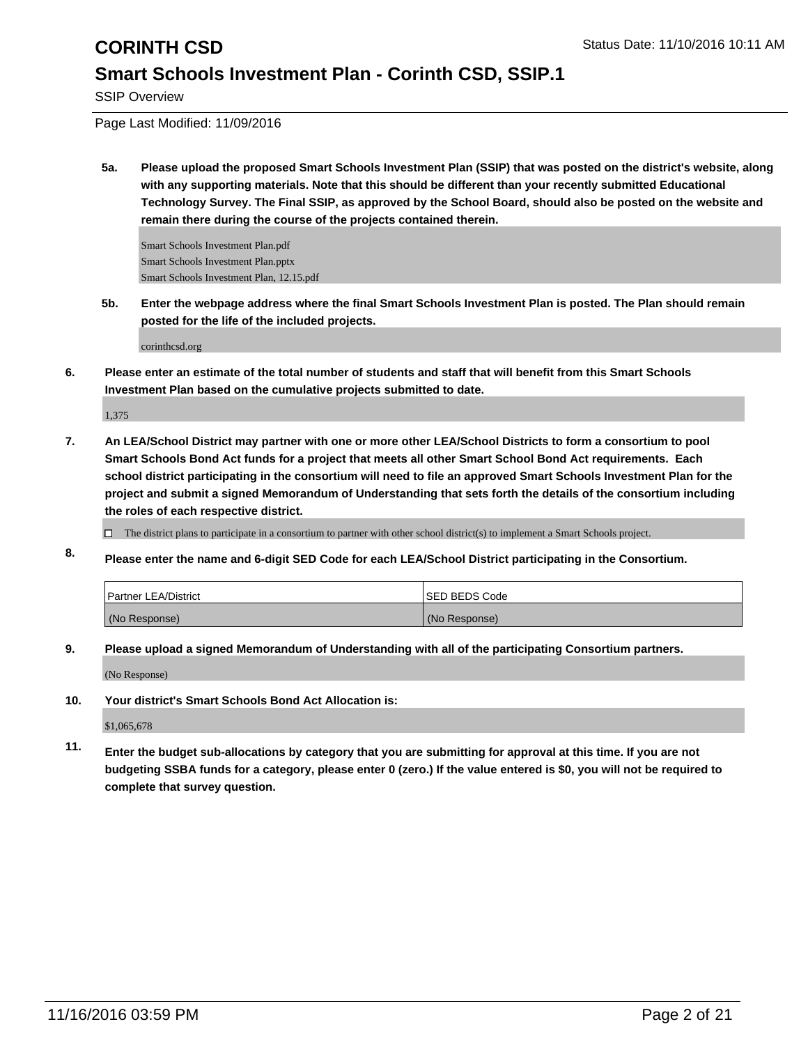SSIP Overview

Page Last Modified: 11/09/2016

**5a. Please upload the proposed Smart Schools Investment Plan (SSIP) that was posted on the district's website, along with any supporting materials. Note that this should be different than your recently submitted Educational Technology Survey. The Final SSIP, as approved by the School Board, should also be posted on the website and remain there during the course of the projects contained therein.**

Smart Schools Investment Plan.pdf Smart Schools Investment Plan.pptx Smart Schools Investment Plan, 12.15.pdf

**5b. Enter the webpage address where the final Smart Schools Investment Plan is posted. The Plan should remain posted for the life of the included projects.**

corinthcsd.org

**6. Please enter an estimate of the total number of students and staff that will benefit from this Smart Schools Investment Plan based on the cumulative projects submitted to date.**

1,375

**7. An LEA/School District may partner with one or more other LEA/School Districts to form a consortium to pool Smart Schools Bond Act funds for a project that meets all other Smart School Bond Act requirements. Each school district participating in the consortium will need to file an approved Smart Schools Investment Plan for the project and submit a signed Memorandum of Understanding that sets forth the details of the consortium including the roles of each respective district.**

 $\Box$  The district plans to participate in a consortium to partner with other school district(s) to implement a Smart Schools project.

**8. Please enter the name and 6-digit SED Code for each LEA/School District participating in the Consortium.**

| Partner LEA/District | <b>ISED BEDS Code</b> |
|----------------------|-----------------------|
| (No Response)        | (No Response)         |

**9. Please upload a signed Memorandum of Understanding with all of the participating Consortium partners.**

(No Response)

**10. Your district's Smart Schools Bond Act Allocation is:**

\$1,065,678

**11. Enter the budget sub-allocations by category that you are submitting for approval at this time. If you are not budgeting SSBA funds for a category, please enter 0 (zero.) If the value entered is \$0, you will not be required to complete that survey question.**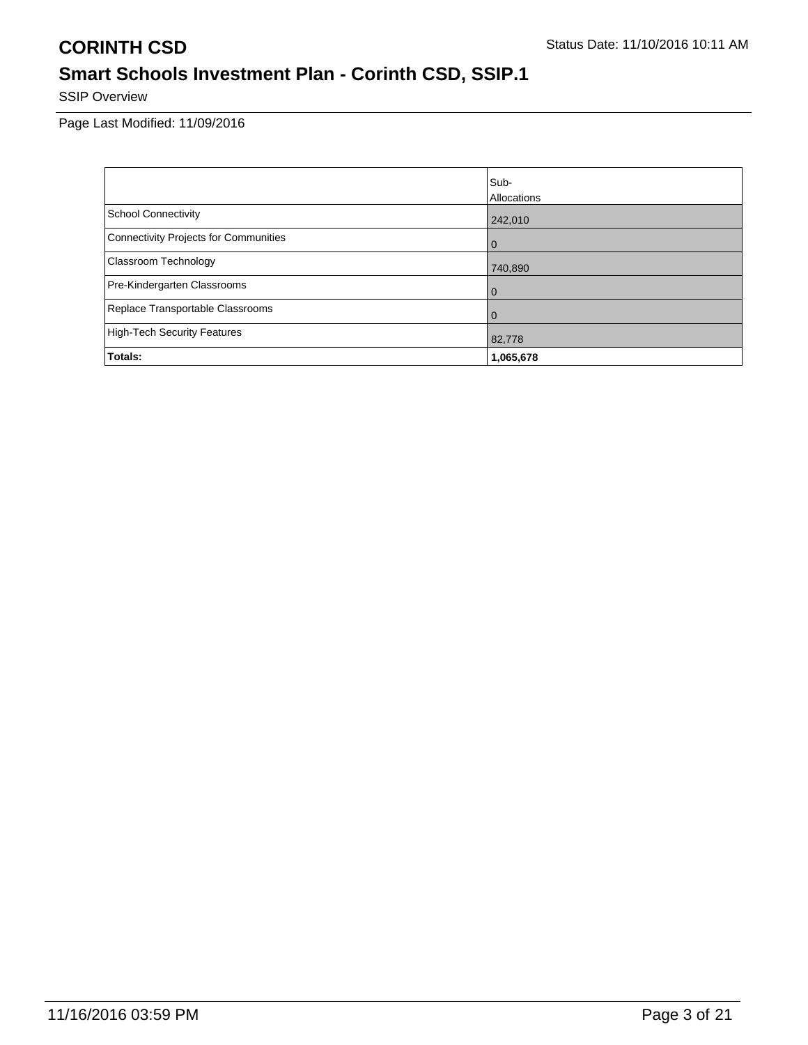SSIP Overview

Page Last Modified: 11/09/2016

|                                              | Sub-           |
|----------------------------------------------|----------------|
|                                              | Allocations    |
| <b>School Connectivity</b>                   | 242,010        |
| <b>Connectivity Projects for Communities</b> | $\overline{0}$ |
| Classroom Technology                         | 740,890        |
| Pre-Kindergarten Classrooms                  | $\mathbf{0}$   |
| Replace Transportable Classrooms             | $\mathbf 0$    |
| <b>High-Tech Security Features</b>           | 82,778         |
| Totals:                                      | 1,065,678      |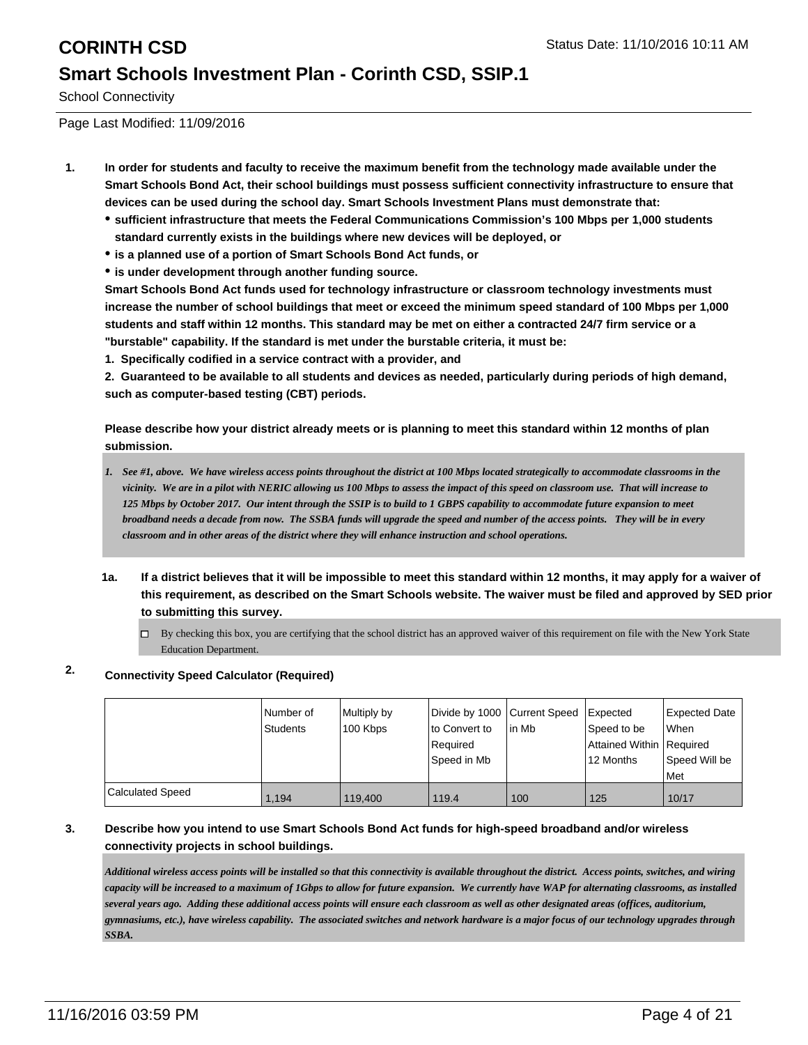School Connectivity

Page Last Modified: 11/09/2016

- **1. In order for students and faculty to receive the maximum benefit from the technology made available under the Smart Schools Bond Act, their school buildings must possess sufficient connectivity infrastructure to ensure that devices can be used during the school day. Smart Schools Investment Plans must demonstrate that:**
	- **sufficient infrastructure that meets the Federal Communications Commission's 100 Mbps per 1,000 students standard currently exists in the buildings where new devices will be deployed, or**
	- **is a planned use of a portion of Smart Schools Bond Act funds, or**
	- **is under development through another funding source.**

**Smart Schools Bond Act funds used for technology infrastructure or classroom technology investments must increase the number of school buildings that meet or exceed the minimum speed standard of 100 Mbps per 1,000 students and staff within 12 months. This standard may be met on either a contracted 24/7 firm service or a "burstable" capability. If the standard is met under the burstable criteria, it must be:**

**1. Specifically codified in a service contract with a provider, and**

**2. Guaranteed to be available to all students and devices as needed, particularly during periods of high demand, such as computer-based testing (CBT) periods.**

**Please describe how your district already meets or is planning to meet this standard within 12 months of plan submission.**

- *See #1, above. We have wireless access points throughout the district at 100 Mbps located strategically to accommodate classrooms in the 1. vicinity. We are in a pilot with NERIC allowing us 100 Mbps to assess the impact of this speed on classroom use. That will increase to 125 Mbps by October 2017. Our intent through the SSIP is to build to 1 GBPS capability to accommodate future expansion to meet broadband needs a decade from now. The SSBA funds will upgrade the speed and number of the access points. They will be in every classroom and in other areas of the district where they will enhance instruction and school operations.*
- **1a. If a district believes that it will be impossible to meet this standard within 12 months, it may apply for a waiver of this requirement, as described on the Smart Schools website. The waiver must be filed and approved by SED prior to submitting this survey.**
	- $\Box$  By checking this box, you are certifying that the school district has an approved waiver of this requirement on file with the New York State Education Department.

### **2. Connectivity Speed Calculator (Required)**

|                         | l Number of<br>Students | Multiply by<br>100 Kbps | Divide by 1000 Current Speed Expected<br>to Convert to<br>l Reauired<br>Speed in Mb | lin Mb | Speed to be<br>Attained Within   Required<br>12 Months | Expected Date<br>l When<br>Speed Will be<br>l Met |
|-------------------------|-------------------------|-------------------------|-------------------------------------------------------------------------------------|--------|--------------------------------------------------------|---------------------------------------------------|
| <b>Calculated Speed</b> | 1.194                   | 119,400                 | 119.4                                                                               | 100    | 125                                                    | 10/17                                             |

### **3. Describe how you intend to use Smart Schools Bond Act funds for high-speed broadband and/or wireless connectivity projects in school buildings.**

*Additional wireless access points will be installed so that this connectivity is available throughout the district. Access points, switches, and wiring capacity will be increased to a maximum of 1Gbps to allow for future expansion. We currently have WAP for alternating classrooms, as installed several years ago. Adding these additional access points will ensure each classroom as well as other designated areas (offices, auditorium, gymnasiums, etc.), have wireless capability. The associated switches and network hardware is a major focus of our technology upgrades through SSBA.*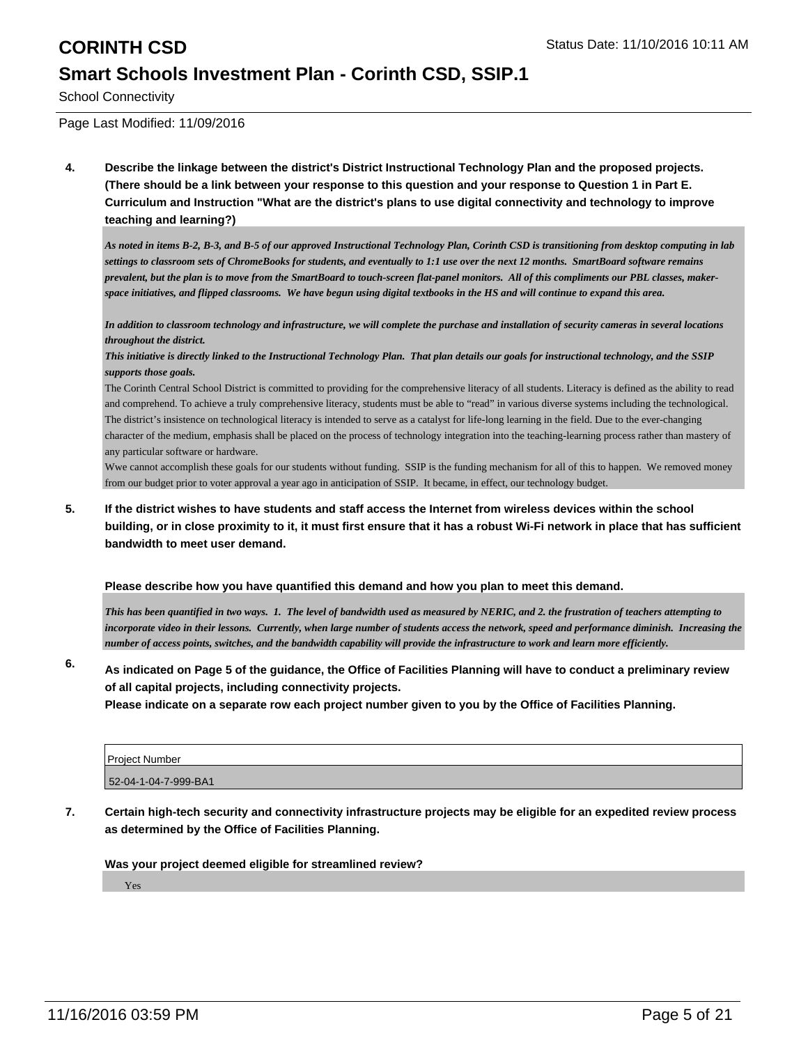School Connectivity

Page Last Modified: 11/09/2016

**4. Describe the linkage between the district's District Instructional Technology Plan and the proposed projects. (There should be a link between your response to this question and your response to Question 1 in Part E. Curriculum and Instruction "What are the district's plans to use digital connectivity and technology to improve teaching and learning?)**

*As noted in items B-2, B-3, and B-5 of our approved Instructional Technology Plan, Corinth CSD is transitioning from desktop computing in lab settings to classroom sets of ChromeBooks for students, and eventually to 1:1 use over the next 12 months. SmartBoard software remains prevalent, but the plan is to move from the SmartBoard to touch-screen flat-panel monitors. All of this compliments our PBL classes, makerspace initiatives, and flipped classrooms. We have begun using digital textbooks in the HS and will continue to expand this area.*

*In addition to classroom technology and infrastructure, we will complete the purchase and installation of security cameras in several locations throughout the district.*

*This initiative is directly linked to the Instructional Technology Plan. That plan details our goals for instructional technology, and the SSIP supports those goals.*

The Corinth Central School District is committed to providing for the comprehensive literacy of all students. Literacy is defined as the ability to read and comprehend. To achieve a truly comprehensive literacy, students must be able to "read" in various diverse systems including the technological. The district's insistence on technological literacy is intended to serve as a catalyst for life-long learning in the field. Due to the ever-changing character of the medium, emphasis shall be placed on the process of technology integration into the teaching-learning process rather than mastery of any particular software or hardware.

Wwe cannot accomplish these goals for our students without funding. SSIP is the funding mechanism for all of this to happen. We removed money from our budget prior to voter approval a year ago in anticipation of SSIP. It became, in effect, our technology budget.

**5. If the district wishes to have students and staff access the Internet from wireless devices within the school building, or in close proximity to it, it must first ensure that it has a robust Wi-Fi network in place that has sufficient bandwidth to meet user demand.**

**Please describe how you have quantified this demand and how you plan to meet this demand.**

*This has been quantified in two ways. 1. The level of bandwidth used as measured by NERIC, and 2. the frustration of teachers attempting to incorporate video in their lessons. Currently, when large number of students access the network, speed and performance diminish. Increasing the number of access points, switches, and the bandwidth capability will provide the infrastructure to work and learn more efficiently.*

**6. As indicated on Page 5 of the guidance, the Office of Facilities Planning will have to conduct a preliminary review of all capital projects, including connectivity projects.**

**Please indicate on a separate row each project number given to you by the Office of Facilities Planning.**

| <b>Project Number</b> |  |
|-----------------------|--|
| 52-04-1-04-7-999-BA1  |  |

**7. Certain high-tech security and connectivity infrastructure projects may be eligible for an expedited review process as determined by the Office of Facilities Planning.**

**Was your project deemed eligible for streamlined review?**

Yes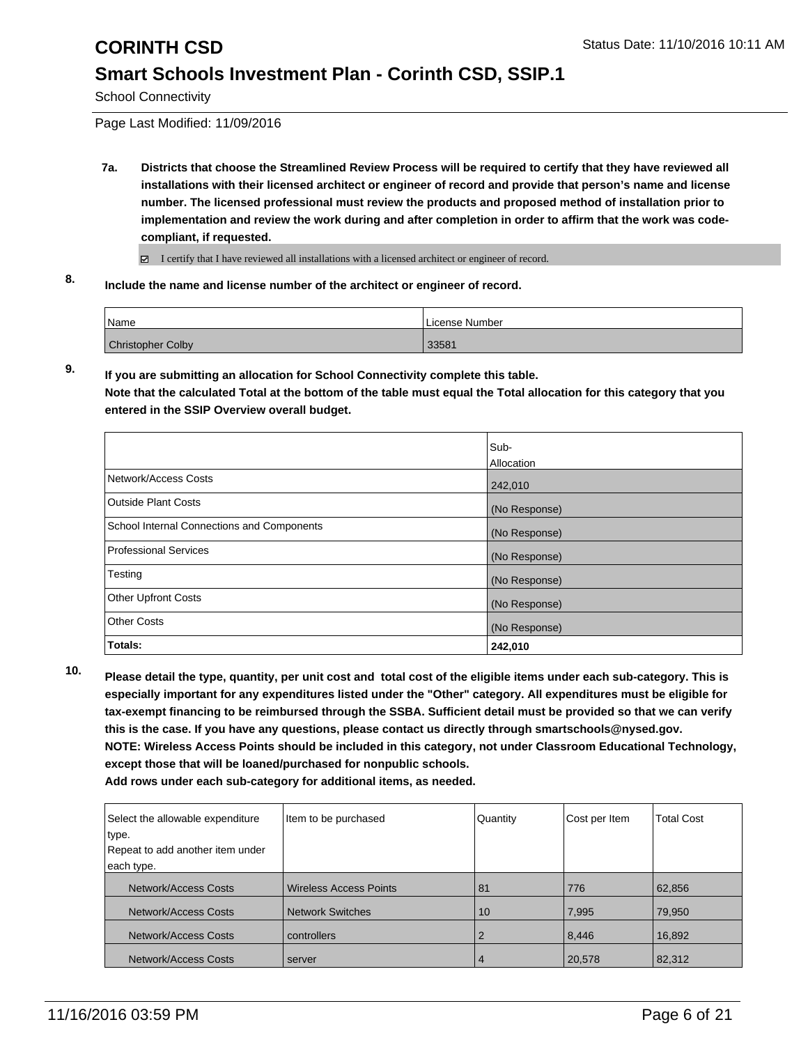School Connectivity

Page Last Modified: 11/09/2016

**7a. Districts that choose the Streamlined Review Process will be required to certify that they have reviewed all installations with their licensed architect or engineer of record and provide that person's name and license number. The licensed professional must review the products and proposed method of installation prior to implementation and review the work during and after completion in order to affirm that the work was codecompliant, if requested.**

 $\boxtimes$  I certify that I have reviewed all installations with a licensed architect or engineer of record.

**8. Include the name and license number of the architect or engineer of record.**

| <sup>1</sup> Name        | License Number |
|--------------------------|----------------|
| <b>Christopher Colby</b> | 33581          |

**9. If you are submitting an allocation for School Connectivity complete this table. Note that the calculated Total at the bottom of the table must equal the Total allocation for this category that you entered in the SSIP Overview overall budget.** 

|                                            | Sub-<br><b>Allocation</b> |
|--------------------------------------------|---------------------------|
| Network/Access Costs                       | 242,010                   |
| <b>Outside Plant Costs</b>                 | (No Response)             |
| School Internal Connections and Components | (No Response)             |
| <b>Professional Services</b>               | (No Response)             |
| Testing                                    | (No Response)             |
| <b>Other Upfront Costs</b>                 | (No Response)             |
| <b>Other Costs</b>                         | (No Response)             |
| Totals:                                    | 242,010                   |

**10. Please detail the type, quantity, per unit cost and total cost of the eligible items under each sub-category. This is especially important for any expenditures listed under the "Other" category. All expenditures must be eligible for tax-exempt financing to be reimbursed through the SSBA. Sufficient detail must be provided so that we can verify this is the case. If you have any questions, please contact us directly through smartschools@nysed.gov. NOTE: Wireless Access Points should be included in this category, not under Classroom Educational Technology, except those that will be loaned/purchased for nonpublic schools.**

| Select the allowable expenditure | Item to be purchased          | Quantity | Cost per Item | <b>Total Cost</b> |
|----------------------------------|-------------------------------|----------|---------------|-------------------|
| type.                            |                               |          |               |                   |
| Repeat to add another item under |                               |          |               |                   |
| each type.                       |                               |          |               |                   |
| Network/Access Costs             | <b>Wireless Access Points</b> | 81       | 776           | 62,856            |
| Network/Access Costs             | <b>Network Switches</b>       | 10       | 7,995         | 79,950            |
| Network/Access Costs             | controllers                   |          | 8,446         | 16,892            |
| Network/Access Costs             | server                        | 4        | 20,578        | 82,312            |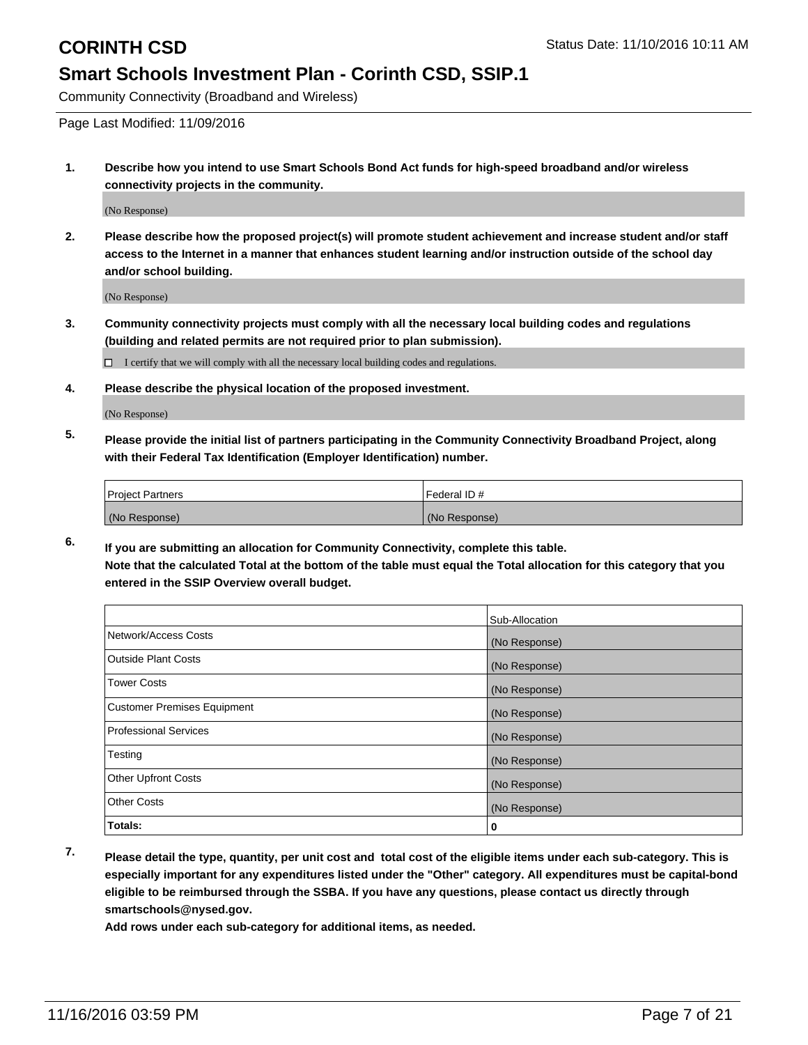Community Connectivity (Broadband and Wireless)

Page Last Modified: 11/09/2016

**1. Describe how you intend to use Smart Schools Bond Act funds for high-speed broadband and/or wireless connectivity projects in the community.**

(No Response)

**2. Please describe how the proposed project(s) will promote student achievement and increase student and/or staff access to the Internet in a manner that enhances student learning and/or instruction outside of the school day and/or school building.**

(No Response)

**3. Community connectivity projects must comply with all the necessary local building codes and regulations (building and related permits are not required prior to plan submission).**

 $\Box$  I certify that we will comply with all the necessary local building codes and regulations.

**4. Please describe the physical location of the proposed investment.**

(No Response)

**5. Please provide the initial list of partners participating in the Community Connectivity Broadband Project, along with their Federal Tax Identification (Employer Identification) number.**

| <b>Project Partners</b> | Federal ID#   |
|-------------------------|---------------|
| (No Response)           | (No Response) |

**6. If you are submitting an allocation for Community Connectivity, complete this table. Note that the calculated Total at the bottom of the table must equal the Total allocation for this category that you entered in the SSIP Overview overall budget.**

|                                    | Sub-Allocation |
|------------------------------------|----------------|
| Network/Access Costs               | (No Response)  |
| <b>Outside Plant Costs</b>         | (No Response)  |
| <b>Tower Costs</b>                 | (No Response)  |
| <b>Customer Premises Equipment</b> | (No Response)  |
| <b>Professional Services</b>       | (No Response)  |
| Testing                            | (No Response)  |
| <b>Other Upfront Costs</b>         | (No Response)  |
| <b>Other Costs</b>                 | (No Response)  |
| Totals:                            | 0              |

**7. Please detail the type, quantity, per unit cost and total cost of the eligible items under each sub-category. This is especially important for any expenditures listed under the "Other" category. All expenditures must be capital-bond eligible to be reimbursed through the SSBA. If you have any questions, please contact us directly through smartschools@nysed.gov.**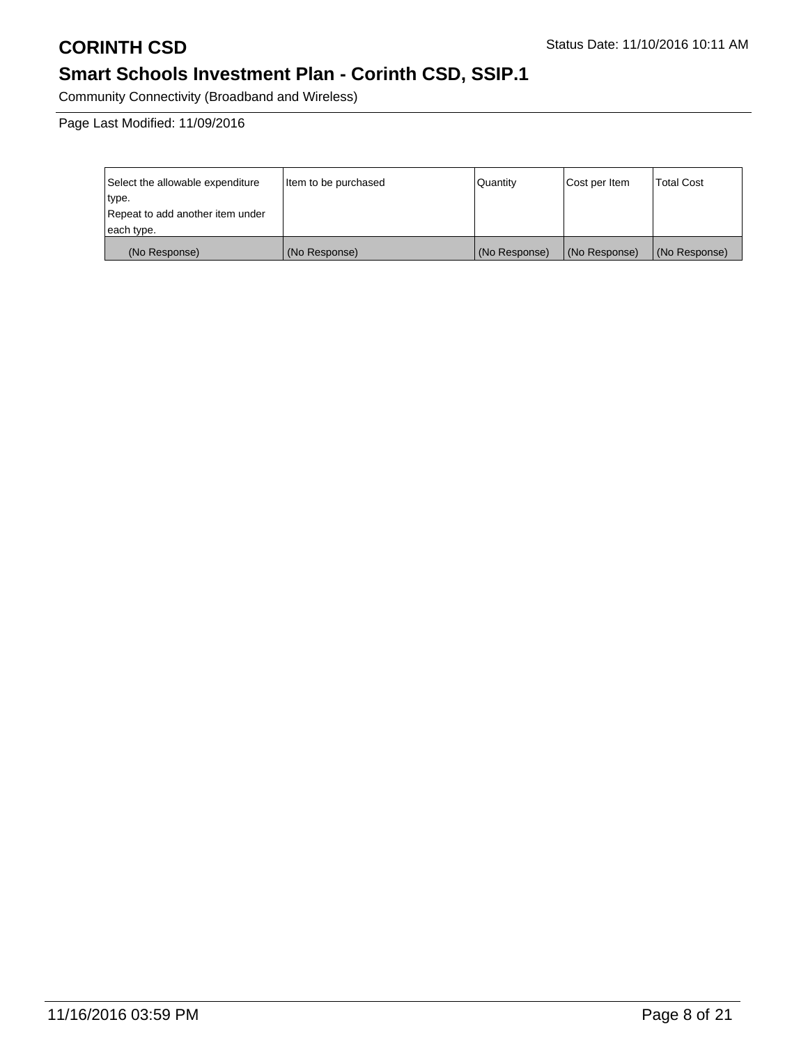Community Connectivity (Broadband and Wireless)

Page Last Modified: 11/09/2016

| Select the allowable expenditure | Item to be purchased | Quantity      | Cost per Item | Total Cost    |
|----------------------------------|----------------------|---------------|---------------|---------------|
| type.                            |                      |               |               |               |
| Repeat to add another item under |                      |               |               |               |
| each type.                       |                      |               |               |               |
| (No Response)                    | (No Response)        | (No Response) | (No Response) | (No Response) |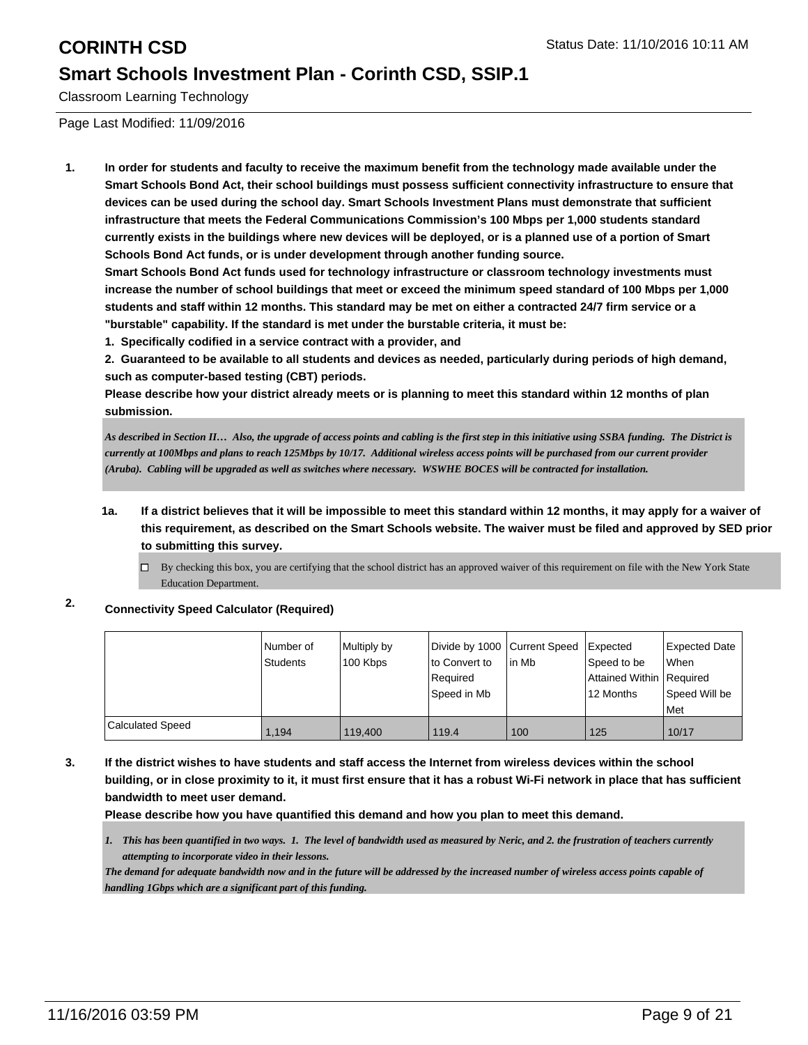Classroom Learning Technology

Page Last Modified: 11/09/2016

**1. In order for students and faculty to receive the maximum benefit from the technology made available under the Smart Schools Bond Act, their school buildings must possess sufficient connectivity infrastructure to ensure that devices can be used during the school day. Smart Schools Investment Plans must demonstrate that sufficient infrastructure that meets the Federal Communications Commission's 100 Mbps per 1,000 students standard currently exists in the buildings where new devices will be deployed, or is a planned use of a portion of Smart Schools Bond Act funds, or is under development through another funding source.**

**Smart Schools Bond Act funds used for technology infrastructure or classroom technology investments must increase the number of school buildings that meet or exceed the minimum speed standard of 100 Mbps per 1,000 students and staff within 12 months. This standard may be met on either a contracted 24/7 firm service or a "burstable" capability. If the standard is met under the burstable criteria, it must be:**

**1. Specifically codified in a service contract with a provider, and**

**2. Guaranteed to be available to all students and devices as needed, particularly during periods of high demand, such as computer-based testing (CBT) periods.**

**Please describe how your district already meets or is planning to meet this standard within 12 months of plan submission.**

*As described in Section II… Also, the upgrade of access points and cabling is the first step in this initiative using SSBA funding. The District is currently at 100Mbps and plans to reach 125Mbps by 10/17. Additional wireless access points will be purchased from our current provider (Aruba). Cabling will be upgraded as well as switches where necessary. WSWHE BOCES will be contracted for installation.*

- **1a. If a district believes that it will be impossible to meet this standard within 12 months, it may apply for a waiver of this requirement, as described on the Smart Schools website. The waiver must be filed and approved by SED prior to submitting this survey.**
	- By checking this box, you are certifying that the school district has an approved waiver of this requirement on file with the New York State  $\Box$ Education Department.

### **2. Connectivity Speed Calculator (Required)**

|                         | Number of<br>Students | Multiply by<br>100 Kbps | Divide by 1000 Current Speed<br>Ito Convert to | lin Mb | Expected<br>Speed to be                 | Expected Date<br>l When |
|-------------------------|-----------------------|-------------------------|------------------------------------------------|--------|-----------------------------------------|-------------------------|
|                         |                       |                         | Required<br>l Speed in Mb                      |        | Attained Within   Required<br>12 Months | Speed Will be<br>l Met  |
| <b>Calculated Speed</b> | 1.194                 | 119,400                 | 119.4                                          | 100    | 125                                     | 10/17                   |

**3. If the district wishes to have students and staff access the Internet from wireless devices within the school building, or in close proximity to it, it must first ensure that it has a robust Wi-Fi network in place that has sufficient bandwidth to meet user demand.**

**Please describe how you have quantified this demand and how you plan to meet this demand.**

*This has been quantified in two ways. 1. The level of bandwidth used as measured by Neric, and 2. the frustration of teachers currently 1. attempting to incorporate video in their lessons.* 

*The demand for adequate bandwidth now and in the future will be addressed by the increased number of wireless access points capable of handling 1Gbps which are a significant part of this funding.*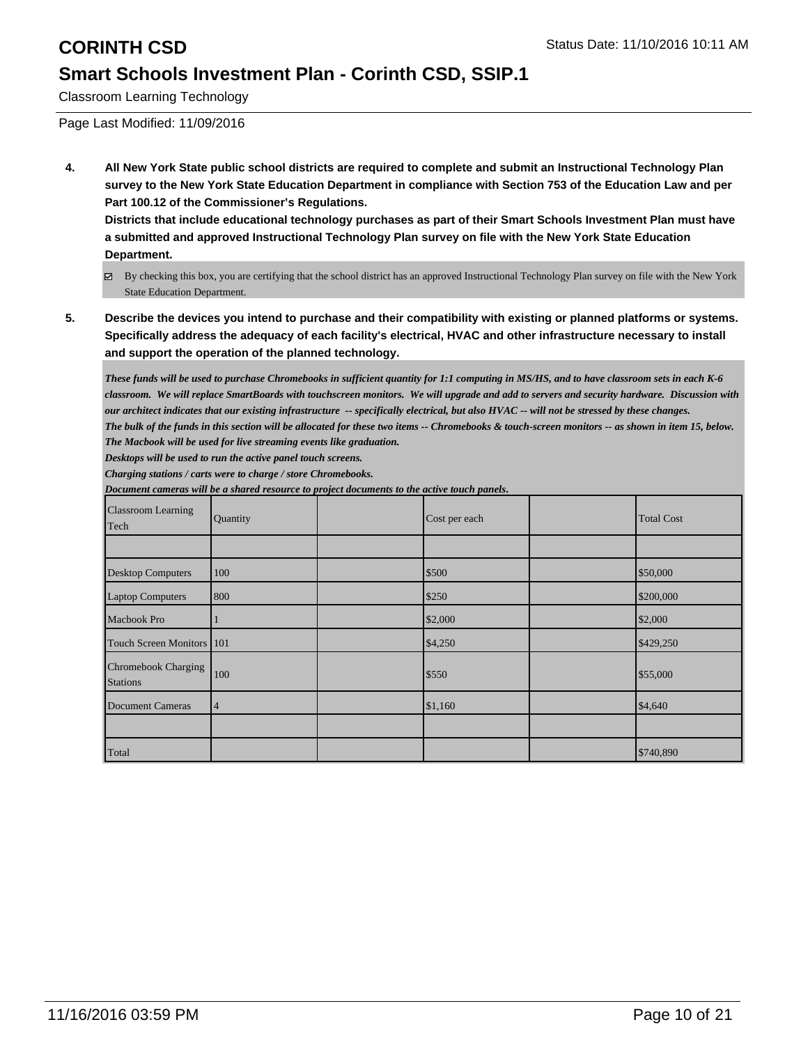Classroom Learning Technology

Page Last Modified: 11/09/2016

**4. All New York State public school districts are required to complete and submit an Instructional Technology Plan survey to the New York State Education Department in compliance with Section 753 of the Education Law and per Part 100.12 of the Commissioner's Regulations.**

**Districts that include educational technology purchases as part of their Smart Schools Investment Plan must have a submitted and approved Instructional Technology Plan survey on file with the New York State Education Department.**

- By checking this box, you are certifying that the school district has an approved Instructional Technology Plan survey on file with the New York State Education Department.
- **5. Describe the devices you intend to purchase and their compatibility with existing or planned platforms or systems. Specifically address the adequacy of each facility's electrical, HVAC and other infrastructure necessary to install and support the operation of the planned technology.**

*These funds will be used to purchase Chromebooks in sufficient quantity for 1:1 computing in MS/HS, and to have classroom sets in each K-6 classroom. We will replace SmartBoards with touchscreen monitors. We will upgrade and add to servers and security hardware. Discussion with our architect indicates that our existing infrastructure -- specifically electrical, but also HVAC -- will not be stressed by these changes. The bulk of the funds in this section will be allocated for these two items -- Chromebooks & touch-screen monitors -- as shown in item 15, below. The Macbook will be used for live streaming events like graduation.* 

*Desktops will be used to run the active panel touch screens.*

*Charging stations / carts were to charge / store Chromebooks.* 

*Document cameras will be a shared resource to project documents to the active touch panels***.**

| Classroom Learning<br>Tech      | Quantity       | Cost per each | <b>Total Cost</b> |
|---------------------------------|----------------|---------------|-------------------|
|                                 |                |               |                   |
| <b>Desktop Computers</b>        | 100            | \$500         | \$50,000          |
| <b>Laptop Computers</b>         | 800            | \$250         | \$200,000         |
| Macbook Pro                     |                | \$2,000       | \$2,000           |
| Touch Screen Monitors 101       |                | \$4,250       | \$429,250         |
| Chromebook Charging<br>Stations | 100            | \$550         | \$55,000          |
| Document Cameras                | $\overline{4}$ | \$1,160       | \$4,640           |
|                                 |                |               |                   |
| Total                           |                |               | \$740,890         |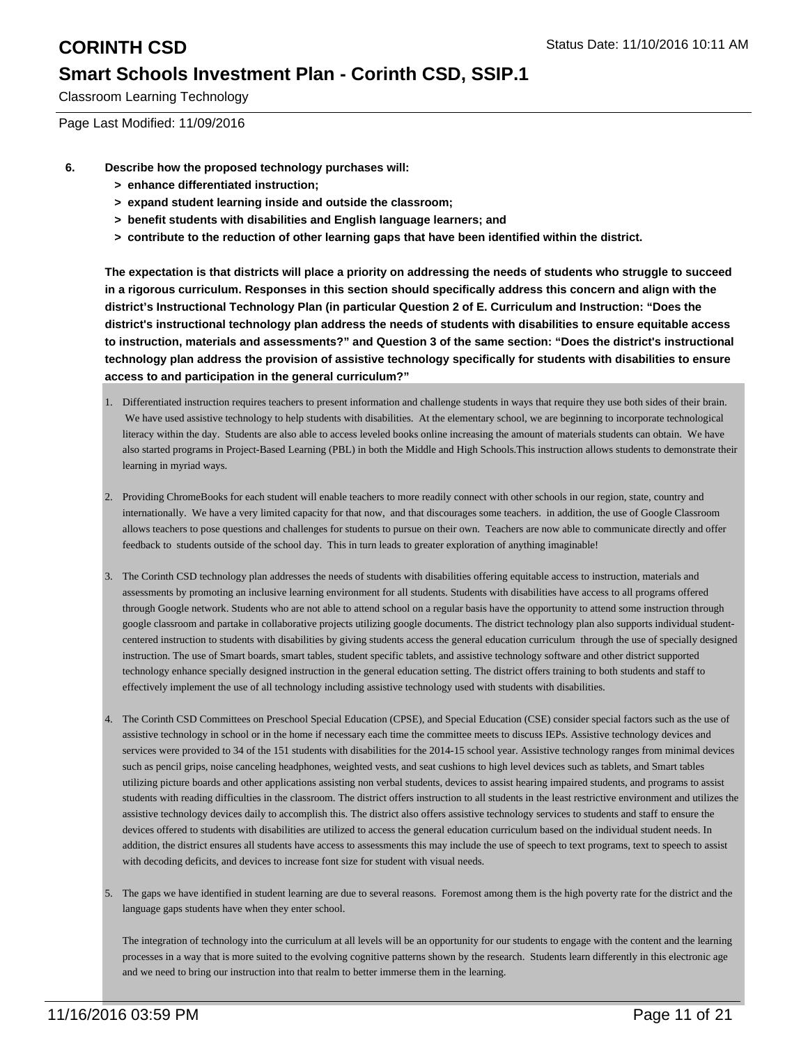Classroom Learning Technology

Page Last Modified: 11/09/2016

- **6. Describe how the proposed technology purchases will:**
	- **> enhance differentiated instruction;**
	- **> expand student learning inside and outside the classroom;**
	- **> benefit students with disabilities and English language learners; and**
	- **> contribute to the reduction of other learning gaps that have been identified within the district.**

**The expectation is that districts will place a priority on addressing the needs of students who struggle to succeed in a rigorous curriculum. Responses in this section should specifically address this concern and align with the district's Instructional Technology Plan (in particular Question 2 of E. Curriculum and Instruction: "Does the district's instructional technology plan address the needs of students with disabilities to ensure equitable access to instruction, materials and assessments?" and Question 3 of the same section: "Does the district's instructional technology plan address the provision of assistive technology specifically for students with disabilities to ensure access to and participation in the general curriculum?"**

- Differentiated instruction requires teachers to present information and challenge students in ways that require they use both sides of their brain. 1. We have used assistive technology to help students with disabilities. At the elementary school, we are beginning to incorporate technological literacy within the day. Students are also able to access leveled books online increasing the amount of materials students can obtain. We have also started programs in Project-Based Learning (PBL) in both the Middle and High Schools.This instruction allows students to demonstrate their learning in myriad ways.
- 2. Providing ChromeBooks for each student will enable teachers to more readily connect with other schools in our region, state, country and internationally. We have a very limited capacity for that now, and that discourages some teachers. in addition, the use of Google Classroom allows teachers to pose questions and challenges for students to pursue on their own. Teachers are now able to communicate directly and offer feedback to students outside of the school day. This in turn leads to greater exploration of anything imaginable!
- 3. The Corinth CSD technology plan addresses the needs of students with disabilities offering equitable access to instruction, materials and assessments by promoting an inclusive learning environment for all students. Students with disabilities have access to all programs offered through Google network. Students who are not able to attend school on a regular basis have the opportunity to attend some instruction through google classroom and partake in collaborative projects utilizing google documents. The district technology plan also supports individual studentcentered instruction to students with disabilities by giving students access the general education curriculum through the use of specially designed instruction. The use of Smart boards, smart tables, student specific tablets, and assistive technology software and other district supported technology enhance specially designed instruction in the general education setting. The district offers training to both students and staff to effectively implement the use of all technology including assistive technology used with students with disabilities.
- 4. The Corinth CSD Committees on Preschool Special Education (CPSE), and Special Education (CSE) consider special factors such as the use of assistive technology in school or in the home if necessary each time the committee meets to discuss IEPs. Assistive technology devices and services were provided to 34 of the 151 students with disabilities for the 2014-15 school year. Assistive technology ranges from minimal devices such as pencil grips, noise canceling headphones, weighted vests, and seat cushions to high level devices such as tablets, and Smart tables utilizing picture boards and other applications assisting non verbal students, devices to assist hearing impaired students, and programs to assist students with reading difficulties in the classroom. The district offers instruction to all students in the least restrictive environment and utilizes the assistive technology devices daily to accomplish this. The district also offers assistive technology services to students and staff to ensure the devices offered to students with disabilities are utilized to access the general education curriculum based on the individual student needs. In addition, the district ensures all students have access to assessments this may include the use of speech to text programs, text to speech to assist with decoding deficits, and devices to increase font size for student with visual needs.
- 5. The gaps we have identified in student learning are due to several reasons. Foremost among them is the high poverty rate for the district and the language gaps students have when they enter school.

The integration of technology into the curriculum at all levels will be an opportunity for our students to engage with the content and the learning processes in a way that is more suited to the evolving cognitive patterns shown by the research. Students learn differently in this electronic age and we need to bring our instruction into that realm to better immerse them in the learning.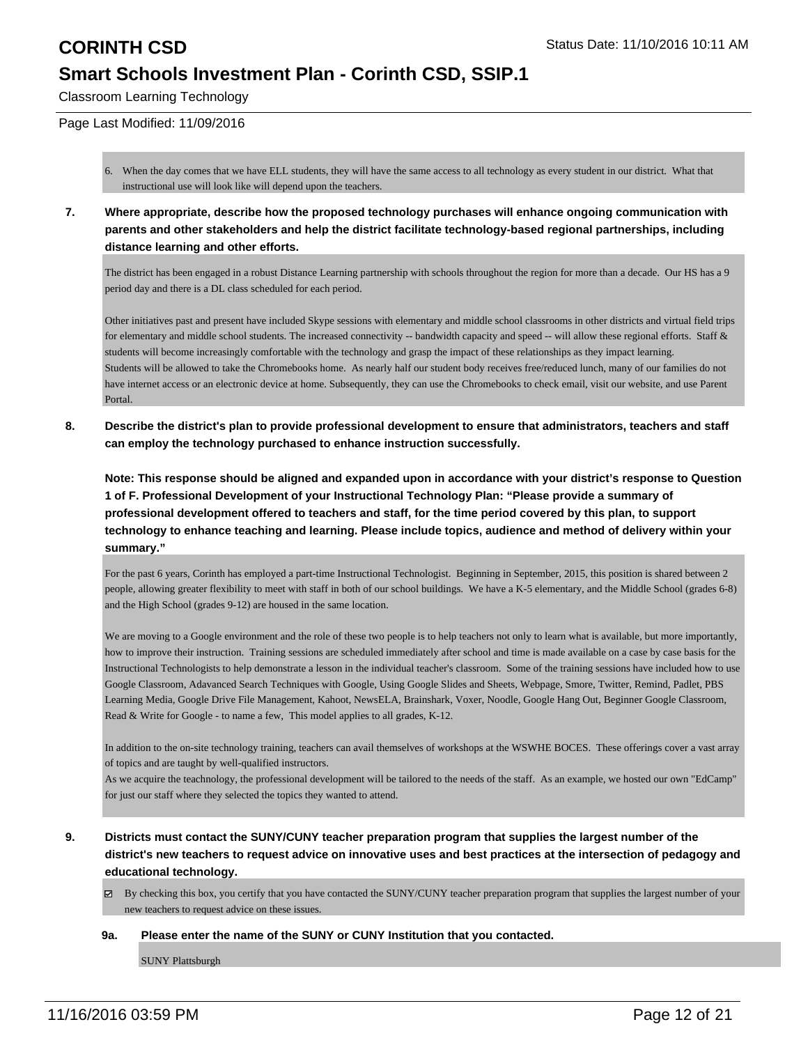Classroom Learning Technology

### Page Last Modified: 11/09/2016

6. When the day comes that we have ELL students, they will have the same access to all technology as every student in our district. What that instructional use will look like will depend upon the teachers.

**7. Where appropriate, describe how the proposed technology purchases will enhance ongoing communication with parents and other stakeholders and help the district facilitate technology-based regional partnerships, including distance learning and other efforts.**

The district has been engaged in a robust Distance Learning partnership with schools throughout the region for more than a decade. Our HS has a 9 period day and there is a DL class scheduled for each period.

Other initiatives past and present have included Skype sessions with elementary and middle school classrooms in other districts and virtual field trips for elementary and middle school students. The increased connectivity -- bandwidth capacity and speed -- will allow these regional efforts. Staff & students will become increasingly comfortable with the technology and grasp the impact of these relationships as they impact learning. Students will be allowed to take the Chromebooks home. As nearly half our student body receives free/reduced lunch, many of our families do not have internet access or an electronic device at home. Subsequently, they can use the Chromebooks to check email, visit our website, and use Parent Portal.

**8. Describe the district's plan to provide professional development to ensure that administrators, teachers and staff can employ the technology purchased to enhance instruction successfully.**

**Note: This response should be aligned and expanded upon in accordance with your district's response to Question 1 of F. Professional Development of your Instructional Technology Plan: "Please provide a summary of professional development offered to teachers and staff, for the time period covered by this plan, to support technology to enhance teaching and learning. Please include topics, audience and method of delivery within your summary."**

For the past 6 years, Corinth has employed a part-time Instructional Technologist. Beginning in September, 2015, this position is shared between 2 people, allowing greater flexibility to meet with staff in both of our school buildings. We have a K-5 elementary, and the Middle School (grades 6-8) and the High School (grades 9-12) are housed in the same location.

We are moving to a Google environment and the role of these two people is to help teachers not only to learn what is available, but more importantly, how to improve their instruction. Training sessions are scheduled immediately after school and time is made available on a case by case basis for the Instructional Technologists to help demonstrate a lesson in the individual teacher's classroom. Some of the training sessions have included how to use Google Classroom, Adavanced Search Techniques with Google, Using Google Slides and Sheets, Webpage, Smore, Twitter, Remind, Padlet, PBS Learning Media, Google Drive File Management, Kahoot, NewsELA, Brainshark, Voxer, Noodle, Google Hang Out, Beginner Google Classroom, Read & Write for Google - to name a few, This model applies to all grades, K-12.

In addition to the on-site technology training, teachers can avail themselves of workshops at the WSWHE BOCES. These offerings cover a vast array of topics and are taught by well-qualified instructors.

As we acquire the teachnology, the professional development will be tailored to the needs of the staff. As an example, we hosted our own "EdCamp" for just our staff where they selected the topics they wanted to attend.

- **9. Districts must contact the SUNY/CUNY teacher preparation program that supplies the largest number of the district's new teachers to request advice on innovative uses and best practices at the intersection of pedagogy and educational technology.**
	- By checking this box, you certify that you have contacted the SUNY/CUNY teacher preparation program that supplies the largest number of your new teachers to request advice on these issues.
	- **9a. Please enter the name of the SUNY or CUNY Institution that you contacted.**

SUNY Plattsburgh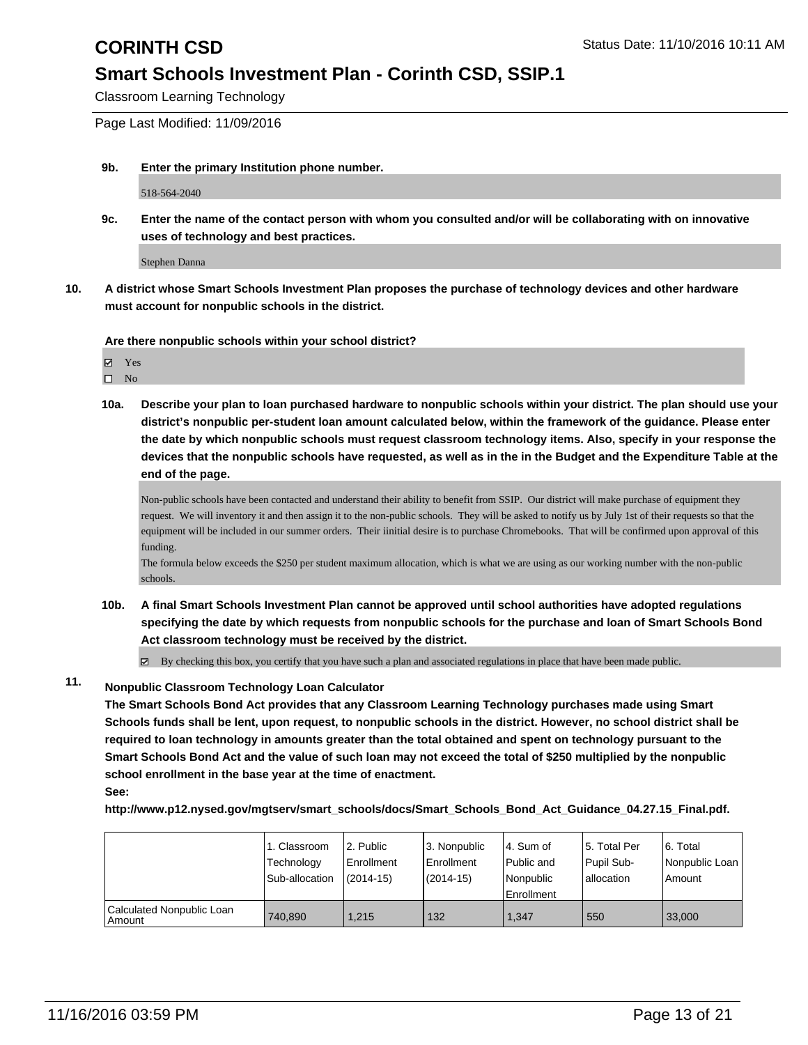Classroom Learning Technology

Page Last Modified: 11/09/2016

**9b. Enter the primary Institution phone number.**

518-564-2040

**9c. Enter the name of the contact person with whom you consulted and/or will be collaborating with on innovative uses of technology and best practices.**

Stephen Danna

**10. A district whose Smart Schools Investment Plan proposes the purchase of technology devices and other hardware must account for nonpublic schools in the district.**

**Are there nonpublic schools within your school district?**

М Yes

 $\square$  No

**10a. Describe your plan to loan purchased hardware to nonpublic schools within your district. The plan should use your district's nonpublic per-student loan amount calculated below, within the framework of the guidance. Please enter the date by which nonpublic schools must request classroom technology items. Also, specify in your response the devices that the nonpublic schools have requested, as well as in the in the Budget and the Expenditure Table at the end of the page.**

Non-public schools have been contacted and understand their ability to benefit from SSIP. Our district will make purchase of equipment they request. We will inventory it and then assign it to the non-public schools. They will be asked to notify us by July 1st of their requests so that the equipment will be included in our summer orders. Their iinitial desire is to purchase Chromebooks. That will be confirmed upon approval of this funding.

The formula below exceeds the \$250 per student maximum allocation, which is what we are using as our working number with the non-public schools.

**10b. A final Smart Schools Investment Plan cannot be approved until school authorities have adopted regulations specifying the date by which requests from nonpublic schools for the purchase and loan of Smart Schools Bond Act classroom technology must be received by the district.**

 $\boxtimes$  By checking this box, you certify that you have such a plan and associated regulations in place that have been made public.

**11. Nonpublic Classroom Technology Loan Calculator**

**The Smart Schools Bond Act provides that any Classroom Learning Technology purchases made using Smart Schools funds shall be lent, upon request, to nonpublic schools in the district. However, no school district shall be required to loan technology in amounts greater than the total obtained and spent on technology pursuant to the Smart Schools Bond Act and the value of such loan may not exceed the total of \$250 multiplied by the nonpublic school enrollment in the base year at the time of enactment.**

**See:**

**http://www.p12.nysed.gov/mgtserv/smart\_schools/docs/Smart\_Schools\_Bond\_Act\_Guidance\_04.27.15\_Final.pdf.**

|                                       | 1. Classroom<br>Technology<br>Sub-allocation | 2. Public<br>Enrollment<br>$(2014-15)$ | 3. Nonpublic<br>Enrollment<br>$(2014 - 15)$ | l 4. Sum of<br>Public and<br>Nonpublic<br>l Enrollment | 5. Total Per<br>Pupil Sub-<br>lallocation | 6. Total<br>l Nonpublic Loan<br>Amount |
|---------------------------------------|----------------------------------------------|----------------------------------------|---------------------------------------------|--------------------------------------------------------|-------------------------------------------|----------------------------------------|
| Calculated Nonpublic Loan<br>l Amount | 740.890                                      | 1.215                                  | 132                                         | 1.347                                                  | 550                                       | 33,000                                 |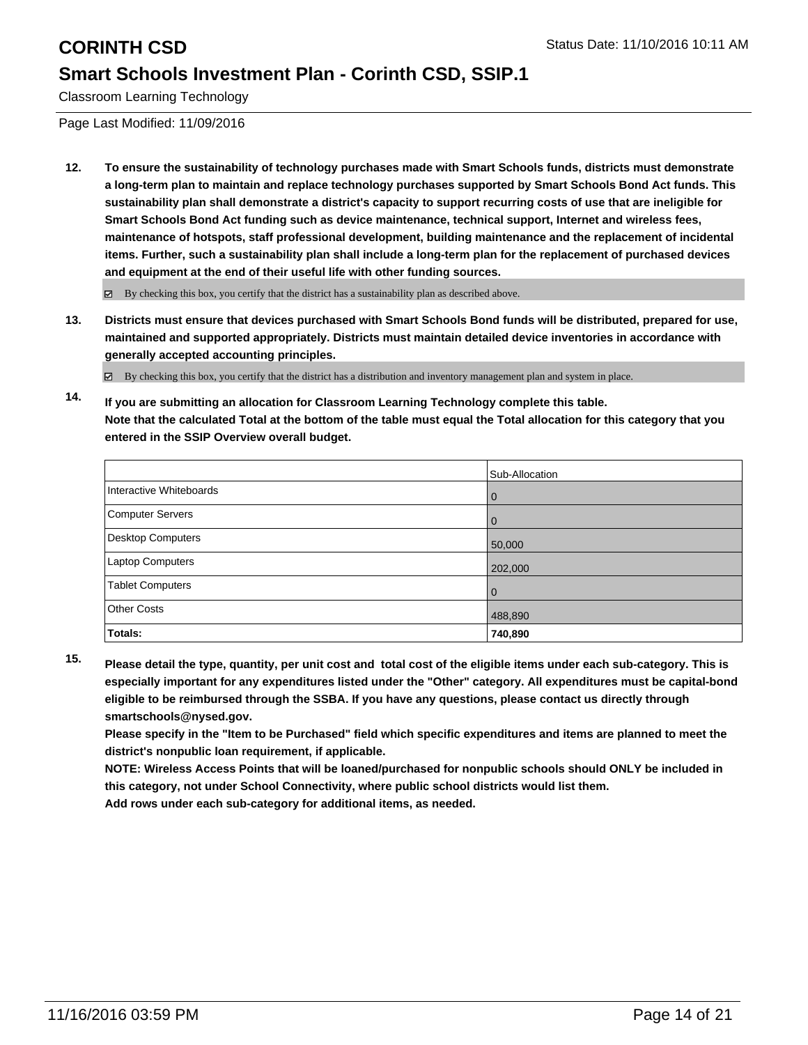Classroom Learning Technology

Page Last Modified: 11/09/2016

**12. To ensure the sustainability of technology purchases made with Smart Schools funds, districts must demonstrate a long-term plan to maintain and replace technology purchases supported by Smart Schools Bond Act funds. This sustainability plan shall demonstrate a district's capacity to support recurring costs of use that are ineligible for Smart Schools Bond Act funding such as device maintenance, technical support, Internet and wireless fees, maintenance of hotspots, staff professional development, building maintenance and the replacement of incidental items. Further, such a sustainability plan shall include a long-term plan for the replacement of purchased devices and equipment at the end of their useful life with other funding sources.**

 $\boxtimes$  By checking this box, you certify that the district has a sustainability plan as described above.

**13. Districts must ensure that devices purchased with Smart Schools Bond funds will be distributed, prepared for use, maintained and supported appropriately. Districts must maintain detailed device inventories in accordance with generally accepted accounting principles.**

By checking this box, you certify that the district has a distribution and inventory management plan and system in place.

**14. If you are submitting an allocation for Classroom Learning Technology complete this table. Note that the calculated Total at the bottom of the table must equal the Total allocation for this category that you entered in the SSIP Overview overall budget.**

|                         | Sub-Allocation |
|-------------------------|----------------|
| Interactive Whiteboards | 0              |
| Computer Servers        |                |
| Desktop Computers       | 50,000         |
| Laptop Computers        | 202,000        |
| <b>Tablet Computers</b> | 0              |
| Other Costs             | 488,890        |
| Totals:                 | 740,890        |

**15. Please detail the type, quantity, per unit cost and total cost of the eligible items under each sub-category. This is especially important for any expenditures listed under the "Other" category. All expenditures must be capital-bond**

**eligible to be reimbursed through the SSBA. If you have any questions, please contact us directly through smartschools@nysed.gov.**

**Please specify in the "Item to be Purchased" field which specific expenditures and items are planned to meet the district's nonpublic loan requirement, if applicable.**

**NOTE: Wireless Access Points that will be loaned/purchased for nonpublic schools should ONLY be included in this category, not under School Connectivity, where public school districts would list them.**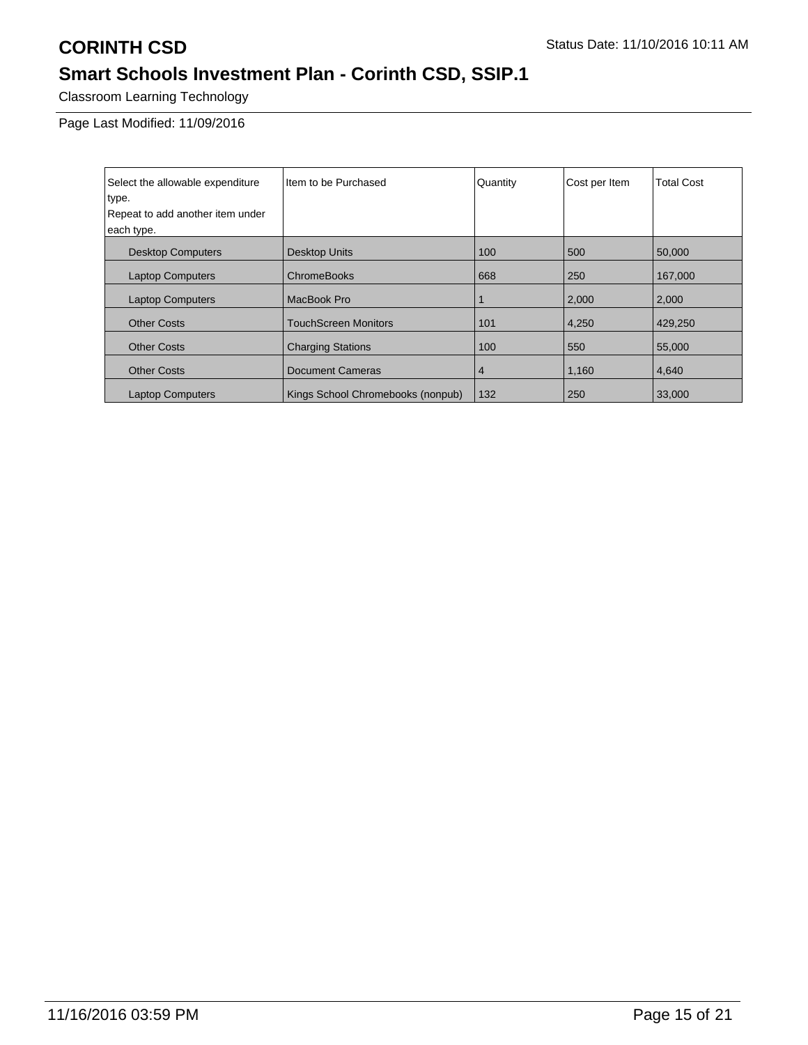Classroom Learning Technology

Page Last Modified: 11/09/2016

| Select the allowable expenditure<br>type. | Item to be Purchased              | Quantity | Cost per Item | <b>Total Cost</b> |
|-------------------------------------------|-----------------------------------|----------|---------------|-------------------|
| Repeat to add another item under          |                                   |          |               |                   |
| each type.                                |                                   |          |               |                   |
|                                           |                                   |          |               |                   |
| <b>Desktop Computers</b>                  | <b>Desktop Units</b>              | 100      | 500           | 50,000            |
| <b>Laptop Computers</b>                   | <b>ChromeBooks</b>                | 668      | 250           | 167,000           |
| <b>Laptop Computers</b>                   | MacBook Pro                       |          | 2,000         | 2,000             |
| <b>Other Costs</b>                        | <b>TouchScreen Monitors</b>       | 101      | 4,250         | 429,250           |
| <b>Other Costs</b>                        | <b>Charging Stations</b>          | 100      | 550           | 55,000            |
| <b>Other Costs</b>                        | <b>Document Cameras</b>           | 4        | 1,160         | 4,640             |
| <b>Laptop Computers</b>                   | Kings School Chromebooks (nonpub) | 132      | 250           | 33,000            |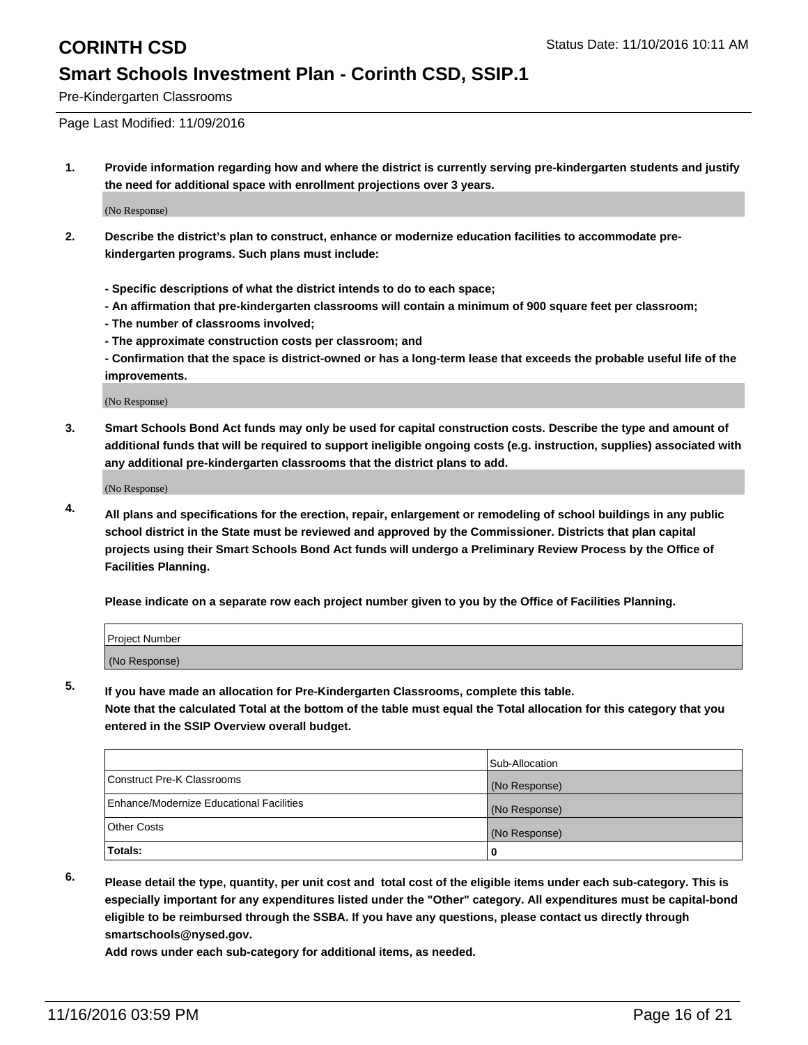Pre-Kindergarten Classrooms

Page Last Modified: 11/09/2016

**1. Provide information regarding how and where the district is currently serving pre-kindergarten students and justify the need for additional space with enrollment projections over 3 years.**

(No Response)

- **2. Describe the district's plan to construct, enhance or modernize education facilities to accommodate prekindergarten programs. Such plans must include:**
	- **Specific descriptions of what the district intends to do to each space;**
	- **An affirmation that pre-kindergarten classrooms will contain a minimum of 900 square feet per classroom;**
	- **The number of classrooms involved;**
	- **The approximate construction costs per classroom; and**
	- **Confirmation that the space is district-owned or has a long-term lease that exceeds the probable useful life of the improvements.**

(No Response)

**3. Smart Schools Bond Act funds may only be used for capital construction costs. Describe the type and amount of additional funds that will be required to support ineligible ongoing costs (e.g. instruction, supplies) associated with any additional pre-kindergarten classrooms that the district plans to add.**

(No Response)

**4. All plans and specifications for the erection, repair, enlargement or remodeling of school buildings in any public school district in the State must be reviewed and approved by the Commissioner. Districts that plan capital projects using their Smart Schools Bond Act funds will undergo a Preliminary Review Process by the Office of Facilities Planning.**

**Please indicate on a separate row each project number given to you by the Office of Facilities Planning.**

| Project Number |  |
|----------------|--|
| (No Response)  |  |

**5. If you have made an allocation for Pre-Kindergarten Classrooms, complete this table.**

**Note that the calculated Total at the bottom of the table must equal the Total allocation for this category that you entered in the SSIP Overview overall budget.**

|                                          | Sub-Allocation |
|------------------------------------------|----------------|
| Construct Pre-K Classrooms               | (No Response)  |
| Enhance/Modernize Educational Facilities | (No Response)  |
| Other Costs                              | (No Response)  |
| Totals:                                  |                |

**6. Please detail the type, quantity, per unit cost and total cost of the eligible items under each sub-category. This is especially important for any expenditures listed under the "Other" category. All expenditures must be capital-bond eligible to be reimbursed through the SSBA. If you have any questions, please contact us directly through smartschools@nysed.gov.**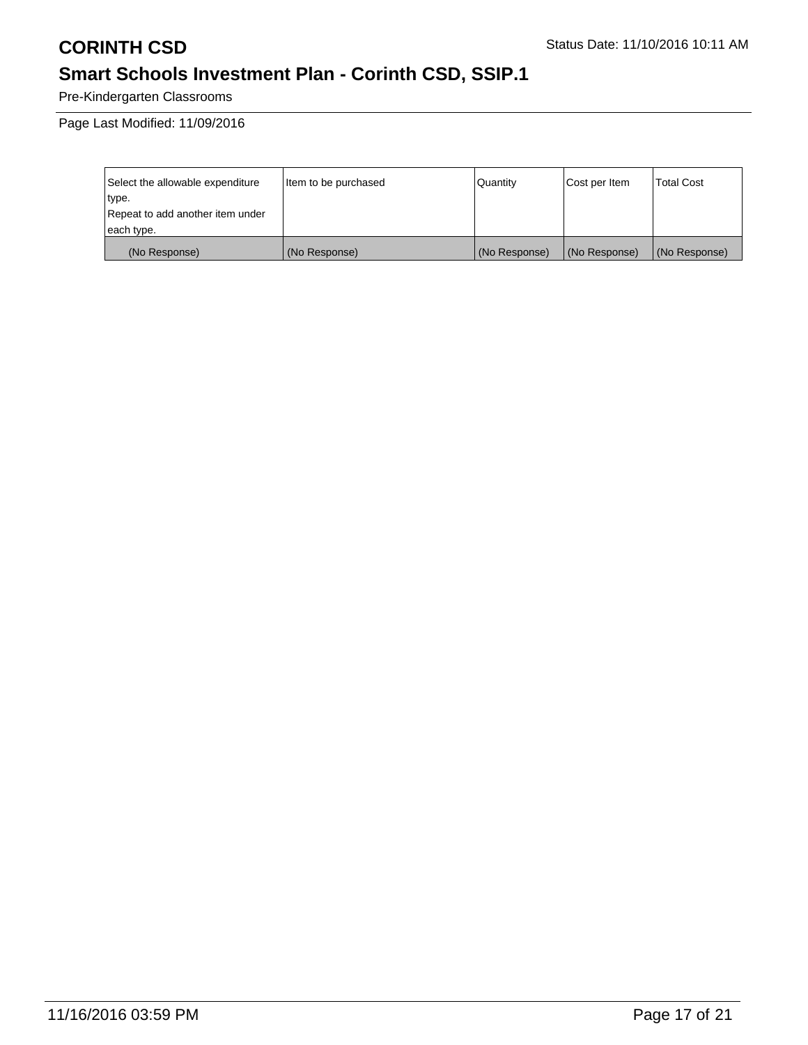Pre-Kindergarten Classrooms

Page Last Modified: 11/09/2016

| Select the allowable expenditure | litem to be purchased | Quantity      | Cost per Item | <b>Total Cost</b> |
|----------------------------------|-----------------------|---------------|---------------|-------------------|
| type.                            |                       |               |               |                   |
| Repeat to add another item under |                       |               |               |                   |
| each type.                       |                       |               |               |                   |
| (No Response)                    | (No Response)         | (No Response) | (No Response) | (No Response)     |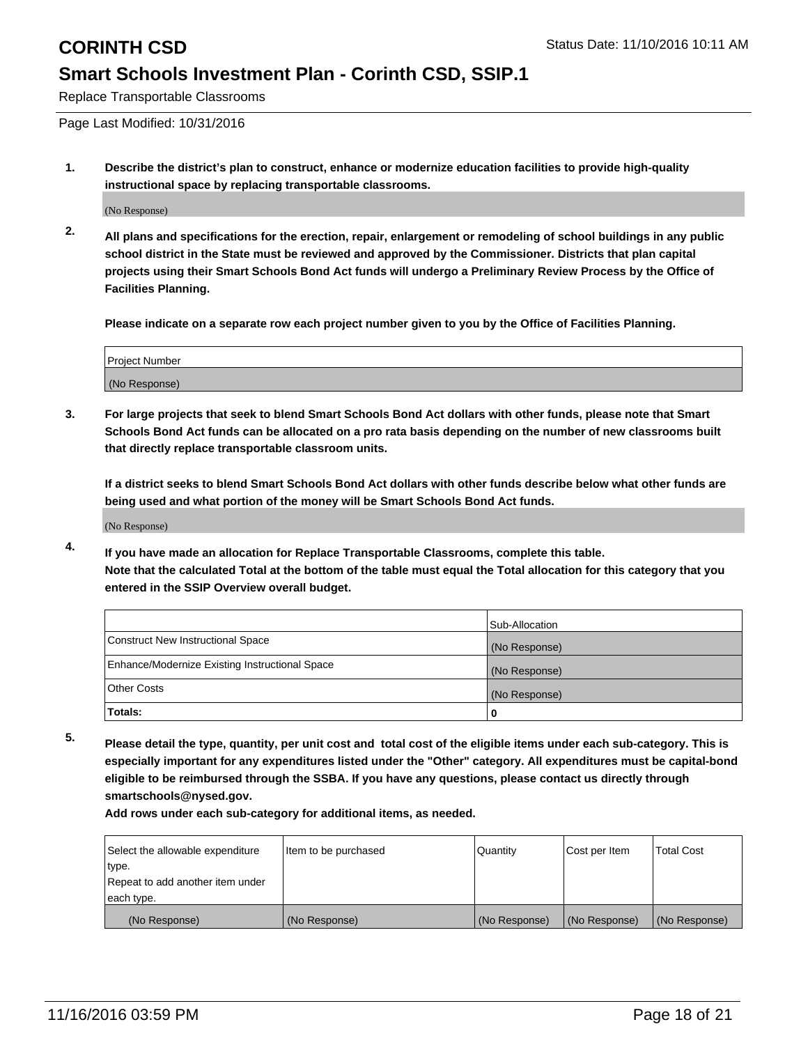Replace Transportable Classrooms

Page Last Modified: 10/31/2016

**1. Describe the district's plan to construct, enhance or modernize education facilities to provide high-quality instructional space by replacing transportable classrooms.**

(No Response)

**2. All plans and specifications for the erection, repair, enlargement or remodeling of school buildings in any public school district in the State must be reviewed and approved by the Commissioner. Districts that plan capital projects using their Smart Schools Bond Act funds will undergo a Preliminary Review Process by the Office of Facilities Planning.**

**Please indicate on a separate row each project number given to you by the Office of Facilities Planning.**

| Project Number |  |
|----------------|--|
| (No Response)  |  |

**3. For large projects that seek to blend Smart Schools Bond Act dollars with other funds, please note that Smart Schools Bond Act funds can be allocated on a pro rata basis depending on the number of new classrooms built that directly replace transportable classroom units.**

**If a district seeks to blend Smart Schools Bond Act dollars with other funds describe below what other funds are being used and what portion of the money will be Smart Schools Bond Act funds.**

(No Response)

**4. If you have made an allocation for Replace Transportable Classrooms, complete this table. Note that the calculated Total at the bottom of the table must equal the Total allocation for this category that you entered in the SSIP Overview overall budget.**

|                                                | Sub-Allocation |
|------------------------------------------------|----------------|
| Construct New Instructional Space              | (No Response)  |
| Enhance/Modernize Existing Instructional Space | (No Response)  |
| Other Costs                                    | (No Response)  |
| Totals:                                        | 0              |

**5. Please detail the type, quantity, per unit cost and total cost of the eligible items under each sub-category. This is especially important for any expenditures listed under the "Other" category. All expenditures must be capital-bond eligible to be reimbursed through the SSBA. If you have any questions, please contact us directly through smartschools@nysed.gov.**

| Select the allowable expenditure | Item to be purchased | Quantity      | Cost per Item | Total Cost    |
|----------------------------------|----------------------|---------------|---------------|---------------|
| type.                            |                      |               |               |               |
| Repeat to add another item under |                      |               |               |               |
| each type.                       |                      |               |               |               |
| (No Response)                    | (No Response)        | (No Response) | (No Response) | (No Response) |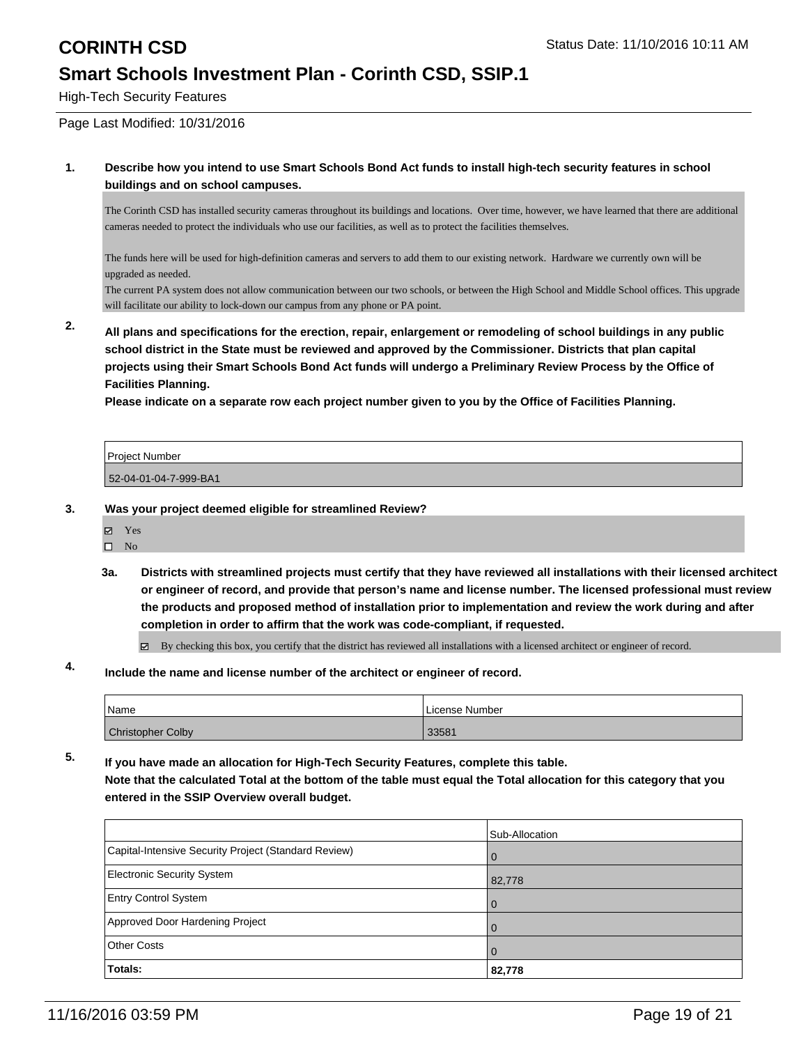High-Tech Security Features

### Page Last Modified: 10/31/2016

### **1. Describe how you intend to use Smart Schools Bond Act funds to install high-tech security features in school buildings and on school campuses.**

The Corinth CSD has installed security cameras throughout its buildings and locations. Over time, however, we have learned that there are additional cameras needed to protect the individuals who use our facilities, as well as to protect the facilities themselves.

The funds here will be used for high-definition cameras and servers to add them to our existing network. Hardware we currently own will be upgraded as needed.

The current PA system does not allow communication between our two schools, or between the High School and Middle School offices. This upgrade will facilitate our ability to lock-down our campus from any phone or PA point.

**2. All plans and specifications for the erection, repair, enlargement or remodeling of school buildings in any public school district in the State must be reviewed and approved by the Commissioner. Districts that plan capital projects using their Smart Schools Bond Act funds will undergo a Preliminary Review Process by the Office of Facilities Planning.** 

**Please indicate on a separate row each project number given to you by the Office of Facilities Planning.**

| <b>Project Number</b> |  |
|-----------------------|--|
| 52-04-01-04-7-999-BA1 |  |

### **3. Was your project deemed eligible for streamlined Review?**

- Yes
- $\hfill \square$  No
- **3a. Districts with streamlined projects must certify that they have reviewed all installations with their licensed architect or engineer of record, and provide that person's name and license number. The licensed professional must review the products and proposed method of installation prior to implementation and review the work during and after completion in order to affirm that the work was code-compliant, if requested.**

By checking this box, you certify that the district has reviewed all installations with a licensed architect or engineer of record.

### **4. Include the name and license number of the architect or engineer of record.**

| <i>Name</i>              | License Number |
|--------------------------|----------------|
| <b>Christopher Colby</b> | 33581          |

**5. If you have made an allocation for High-Tech Security Features, complete this table.**

**Note that the calculated Total at the bottom of the table must equal the Total allocation for this category that you entered in the SSIP Overview overall budget.**

| 82,778         |
|----------------|
| $\Omega$       |
| l O            |
| l 0            |
| 82,778         |
| l 0            |
| Sub-Allocation |
|                |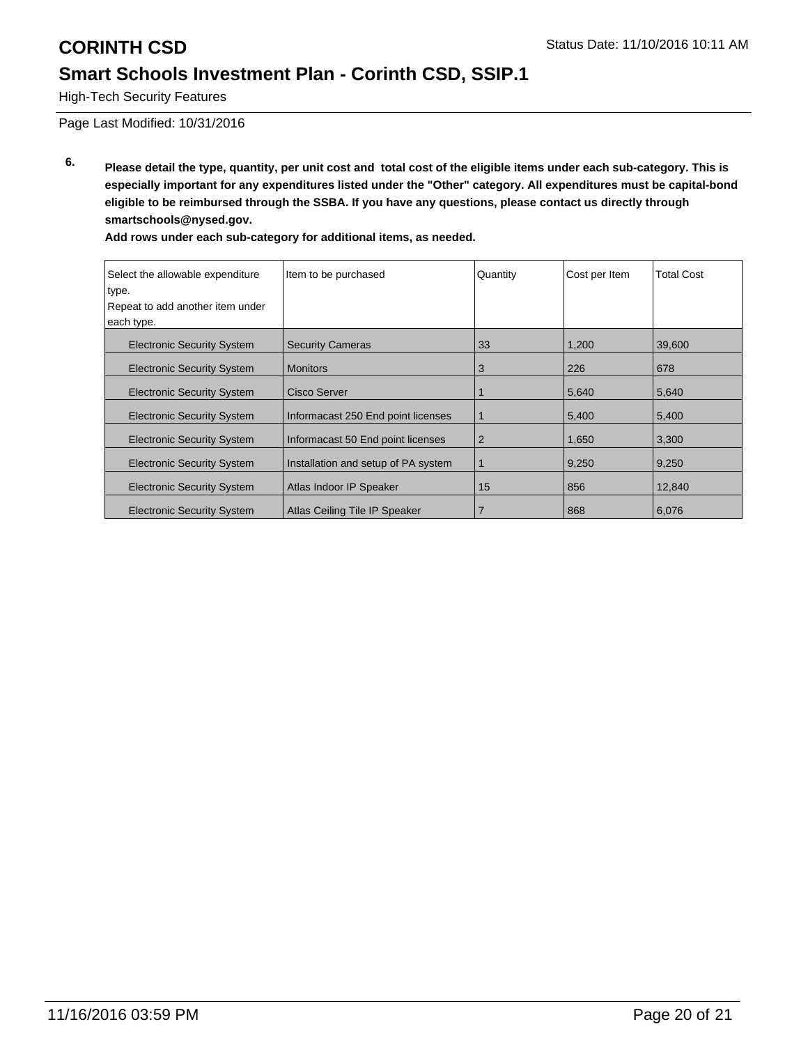High-Tech Security Features

Page Last Modified: 10/31/2016

**6. Please detail the type, quantity, per unit cost and total cost of the eligible items under each sub-category. This is especially important for any expenditures listed under the "Other" category. All expenditures must be capital-bond eligible to be reimbursed through the SSBA. If you have any questions, please contact us directly through smartschools@nysed.gov.**

| Select the allowable expenditure<br>type.<br>Repeat to add another item under<br>each type. | Item to be purchased                 | Quantity       | Cost per Item | <b>Total Cost</b> |
|---------------------------------------------------------------------------------------------|--------------------------------------|----------------|---------------|-------------------|
| <b>Electronic Security System</b>                                                           | <b>Security Cameras</b>              | 33             | 1,200         | 39,600            |
| <b>Electronic Security System</b>                                                           | <b>Monitors</b>                      | 3              | 226           | 678               |
| <b>Electronic Security System</b>                                                           | Cisco Server                         |                | 5,640         | 5,640             |
| <b>Electronic Security System</b>                                                           | Informacast 250 End point licenses   |                | 5,400         | 5,400             |
| <b>Electronic Security System</b>                                                           | Informacast 50 End point licenses    | $\overline{2}$ | 1,650         | 3,300             |
| <b>Electronic Security System</b>                                                           | Installation and setup of PA system  | 1              | 9,250         | 9,250             |
| <b>Electronic Security System</b>                                                           | Atlas Indoor IP Speaker              | 15             | 856           | 12,840            |
| <b>Electronic Security System</b>                                                           | <b>Atlas Ceiling Tile IP Speaker</b> | 7              | 868           | 6,076             |
|                                                                                             |                                      |                |               |                   |